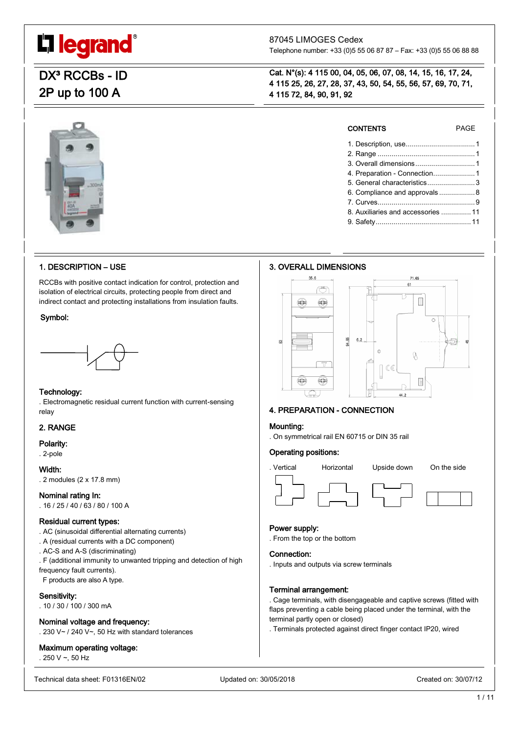

# 87045 LIMOGES Cedex

Telephone number: +33 (0)5 55 06 87 87 – Fax: +33 (0)5 55 06 88 88

# DX<sup>3</sup> RCCBs - ID 2P up to 100 A

Cat. N°(s): 4 115 00, 04, 05, 06, 07, 08, 14, 15, 16, 17, 24, 4 115 25, 26, 27, 28, 37, 43, 50, 54, 55, 56, 57, 69, 70, 71, 4 115 72, 84, 90, 91, 92



# CONTENTS PAGE

| 5. General characteristics3        |  |
|------------------------------------|--|
| 6. Compliance and approvals 8      |  |
|                                    |  |
| 8. Auxiliaries and accessories  11 |  |
|                                    |  |

# 1. DESCRIPTION – USE

RCCBs with positive contact indication for control, protection and isolation of electrical circuits, protecting people from direct and indirect contact and protecting installations from insulation faults.

#### Symbol:



### Technology:

. Electromagnetic residual current function with current-sensing relay

# 2. RANGE

# Polarity:

. 2-pole

Width:

. 2 modules (2 x 17.8 mm)

#### Nominal rating In:

. 16 / 25 / 40 / 63 / 80 / 100 A

# Residual current types:

- . AC (sinusoidal differential alternating currents)
- . A (residual currents with a DC component)
- . AC-S and A-S (discriminating)
- . F (additional immunity to unwanted tripping and detection of high frequency fault currents).
- F products are also A type.

#### Sensitivity:

. 10 / 30 / 100 / 300 mA

#### Nominal voltage and frequency:

. 230 V~ / 240 V~, 50 Hz with standard tolerances

#### Maximum operating voltage:

 $.250 V - 50 Hz$ 

# 3. OVERALL DIMENSIONS



# 4. PREPARATION - CONNECTION

# Mounting:

. On symmetrical rail EN 60715 or DIN 35 rail

# Operating positions:



# Power supply:

. From the top or the bottom

# Connection:

. Inputs and outputs via screw terminals

# Terminal arrangement:

. Cage terminals, with disengageable and captive screws (fitted with flaps preventing a cable being placed under the terminal, with the terminal partly open or closed)

. Terminals protected against direct finger contact IP20, wired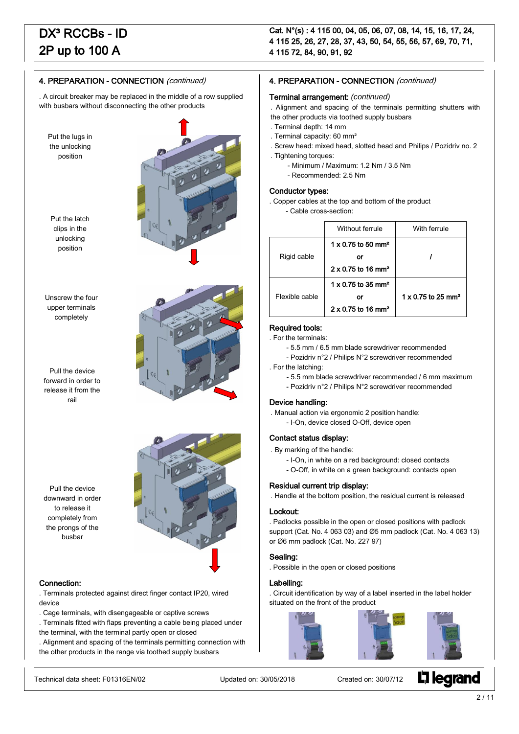# DX<sup>3</sup> RCCBs - ID 2P up to 100 A

# 4. PREPARATION - CONNECTION (continued)

. A circuit breaker may be replaced in the middle of a row supplied with busbars without disconnecting the other products

Put the lugs in the unlocking position

Put the latch clips in the unlocking position



Unscrew the four upper terminals completely

Pull the device forward in order to release it from the rail

Pull the device downward in order to release it completely from the prongs of the busbar

#### Connection:

. Terminals protected against direct finger contact IP20, wired device

. Cage terminals, with disengageable or captive screws

. Terminals fitted with flaps preventing a cable being placed under the terminal, with the terminal partly open or closed

. Alignment and spacing of the terminals permitting connection with the other products in the range via toothed supply busbars

# 4. PREPARATION - CONNECTION (continued)

#### Terminal arrangement: *(continued)*

. Alignment and spacing of the terminals permitting shutters with the other products via toothed supply busbars

- . Terminal depth: 14 mm
- . Terminal capacity: 60 mm²
- . Screw head: mixed head, slotted head and Philips / Pozidriv no. 2 . Tightening torques:
	- Minimum / Maximum: 1.2 Nm / 3.5 Nm
	- Recommended: 2.5 Nm

#### Conductor types:

. Copper cables at the top and bottom of the product - Cable cross-section:

|                | Without ferrule                       | With ferrule                          |
|----------------|---------------------------------------|---------------------------------------|
|                | $1 \times 0.75$ to 50 mm <sup>2</sup> |                                       |
| Rigid cable    | or                                    |                                       |
|                | $2 \times 0.75$ to 16 mm <sup>2</sup> |                                       |
|                | $1 \times 0.75$ to 35 mm <sup>2</sup> |                                       |
| Flexible cable | or                                    | $1 \times 0.75$ to 25 mm <sup>2</sup> |
|                | $2 \times 0.75$ to 16 mm <sup>2</sup> |                                       |

# Required tools:

- . For the terminals:
	- 5.5 mm / 6.5 mm blade screwdriver recommended
	- Pozidriv n°2 / Philips N°2 screwdriver recommended

. For the latching:

- 5.5 mm blade screwdriver recommended / 6 mm maximum
- Pozidriv n°2 / Philips N°2 screwdriver recommended

#### Device handling:

. Manual action via ergonomic 2 position handle: - I-On, device closed O-Off, device open

#### Contact status display:

. By marking of the handle:

- I-On, in white on a red background: closed contacts
- O-Off, in white on a green background: contacts open

#### Residual current trip display:

. Handle at the bottom position, the residual current is released

#### Lockout:

. Padlocks possible in the open or closed positions with padlock support (Cat. No. 4 063 03) and Ø5 mm padlock (Cat. No. 4 063 13) or Ø6 mm padlock (Cat. No. 227 97)

#### Sealing:

. Possible in the open or closed positions

#### Labelling:

. Circuit identification by way of a label inserted in the label holder situated on the front of the product







**L'i legrand**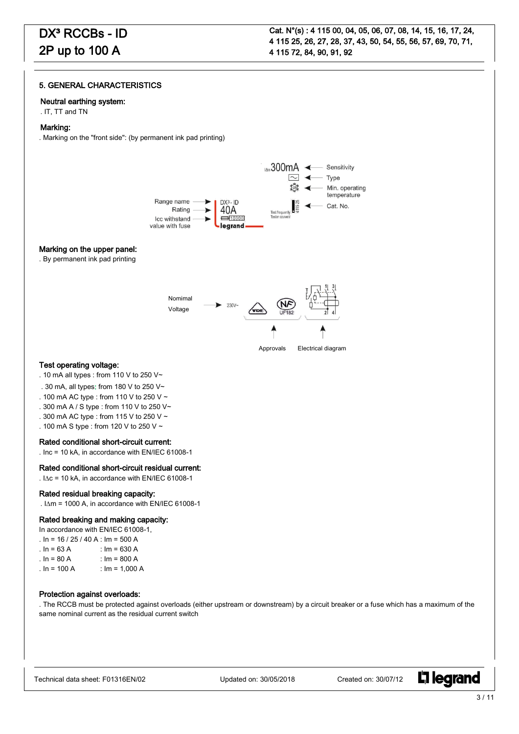#### 5. GENERAL CHARACTERISTICS

#### Neutral earthing system:

. IT, TT and TN

#### Marking:

 $\overline{\phantom{a}}$ 

. Marking on the "front side": (by permanent ink pad printing)



#### Marking on the upper panel:

. By permanent ink pad printing



Approvals Electrical diagram

#### Test operating voltage:

- . 10 mA all types : from 110 V to 250 V~
- . 30 mA, all types: from 180 V to 250 V~
- . 100 mA AC type : from 110 V to 250 V ~
- . 300 mA A / S type : from 110 V to 250 V~
- . 300 mA AC type : from 115 V to 250 V ~
- . 100 mA S type : from 120 V to 250 V ~

#### Rated conditional short-circuit current:

. Inc = 10 kA, in accordance with EN/IEC 61008-1

#### Rated conditional short-circuit residual current:

.  $IAC = 10$  kA, in accordance with EN/IEC 61008-1

#### Rated residual breaking capacity:

.  $I\Delta m = 1000$  A, in accordance with EN/IEC 61008-1

#### Rated breaking and making capacity:

| In accordance with EN/IEC 61008-1,     |                |  |  |  |  |
|----------------------------------------|----------------|--|--|--|--|
| $\ln = 16 / 25 / 40$ A : $\ln = 500$ A |                |  |  |  |  |
| . In = $63$ A                          | : $Im = 630 A$ |  |  |  |  |
| . In = 80 A                            | : $Im = 800 A$ |  |  |  |  |

 $\ln = 100 \text{ A}$  :  $\ln = 1,000 \text{ A}$ 

#### Protection against overloads:

. The RCCB must be protected against overloads (either upstream or downstream) by a circuit breaker or a fuse which has a maximum of the same nominal current as the residual current switch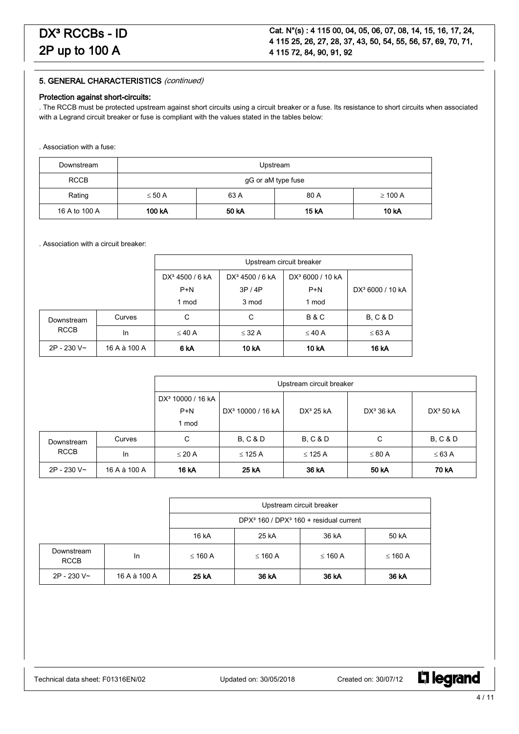#### Protection against short-circuits:

. The RCCB must be protected upstream against short circuits using a circuit breaker or a fuse. Its resistance to short circuits when associated with a Legrand circuit breaker or fuse is compliant with the values stated in the tables below:

. Association with a fuse:

| Downstream    | Upstream                          |      |      |              |  |  |
|---------------|-----------------------------------|------|------|--------------|--|--|
| <b>RCCB</b>   | gG or aM type fuse                |      |      |              |  |  |
| Rating        | $\leq 50$ A                       | 63 A | 80 A | $\geq$ 100 A |  |  |
| 16 A to 100 A | 100 kA<br>50 kA<br>10 kA<br>15 kA |      |      |              |  |  |

. Association with a circuit breaker:

|                                           |              | Upstream circuit breaker    |                             |                              |                              |  |
|-------------------------------------------|--------------|-----------------------------|-----------------------------|------------------------------|------------------------------|--|
|                                           |              | DX <sup>3</sup> 4500 / 6 kA | DX <sup>3</sup> 4500 / 6 kA | DX <sup>3</sup> 6000 / 10 KA |                              |  |
|                                           |              | $P+N$                       | 3P/4P                       | $P+N$                        | DX <sup>3</sup> 6000 / 10 kA |  |
|                                           |              | 1 mod                       | 3 mod                       | 1 mod                        |                              |  |
| Curves<br>Downstream<br><b>RCCB</b><br>In |              | C                           | C                           | <b>B&amp;C</b>               | <b>B. C &amp; D</b>          |  |
|                                           |              | $\leq 40$ A                 | $\leq$ 32 A                 | $\leq$ 40 A                  | $\leq 63$ A                  |  |
| 2P - 230 V~                               | 16 A à 100 A | 6 <sub>k</sub> A            | 10 kA                       | 10 kA                        | 16 kA                        |  |

|             |              | Upstream circuit breaker                        |                               |                     |                       |                       |  |
|-------------|--------------|-------------------------------------------------|-------------------------------|---------------------|-----------------------|-----------------------|--|
|             |              | DX <sup>3</sup> 10000 / 16 kA<br>$P+N$<br>1 mod | DX <sup>3</sup> 10000 / 16 kA | $DX^3$ 25 kA        | DX <sup>3</sup> 36 kA | DX <sup>3</sup> 50 kA |  |
| Downstream  | Curves       | С                                               | <b>B, C &amp; D</b>           | <b>B. C &amp; D</b> | C                     | <b>B, C &amp; D</b>   |  |
| <b>RCCB</b> | In           | $\leq$ 20 A                                     | $\leq$ 125 A                  | $\leq$ 125 A        | $\leq 80$ A           | $\leq 63$ A           |  |
| 2P - 230 V~ | 16 A à 100 A | <b>16 kA</b>                                    | 25 kA                         | 36 kA               | 50 kA                 | 70 kA                 |  |

|                           |              | Upstream circuit breaker                                       |              |              |              |  |
|---------------------------|--------------|----------------------------------------------------------------|--------------|--------------|--------------|--|
|                           |              | DPX <sup>3</sup> 160 / DPX <sup>3</sup> 160 + residual current |              |              |              |  |
|                           |              | 16 kA<br>25 kA<br>36 kA<br>50 kA                               |              |              |              |  |
| Downstream<br><b>RCCB</b> | In           | $\leq$ 160 A                                                   | $\leq$ 160 A | $\leq$ 160 A | $\leq$ 160 A |  |
| $2P - 230V -$             | 16 A à 100 A | 25 kA                                                          | 36 kA        | 36 kA        | 36 kA        |  |

L<sub>1</sub> legrand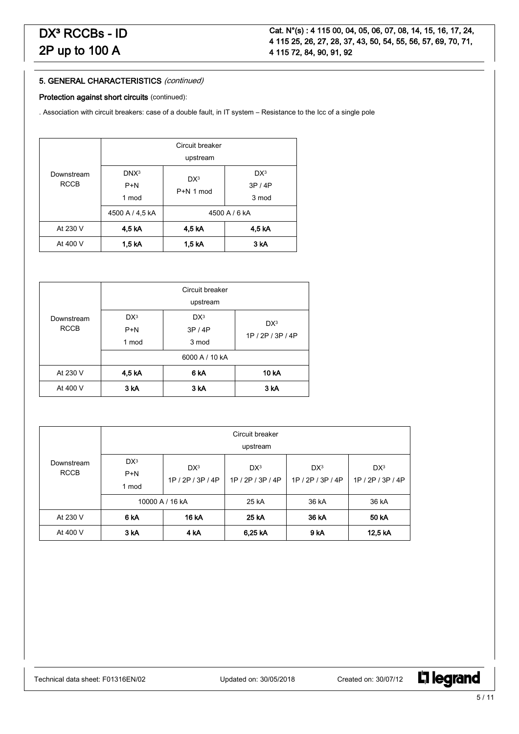#### Protection against short circuits (continued):

. Association with circuit breakers: case of a double fault, in IT system – Resistance to the Icc of a single pole

| Downstream<br><b>RCCB</b> | Circuit breaker<br>upstream        |                                        |                                   |  |
|---------------------------|------------------------------------|----------------------------------------|-----------------------------------|--|
|                           | DNX <sup>3</sup><br>$P+N$<br>1 mod | DX <sup>3</sup><br>$P+N 1 \text{ mod}$ | DX <sup>3</sup><br>3P/4P<br>3 mod |  |
|                           | 4500 A / 4,5 kA                    |                                        | 4500 A / 6 kA                     |  |
| At 230 V                  | 4,5 kA                             | 4,5 kA                                 | 4,5 kA                            |  |
| At 400 V                  | 1,5 kA                             | 1,5 kA                                 | 3 <sub>k</sub> A                  |  |

| Downstream<br><b>RCCB</b> | Circuit breaker |                  |                   |  |  |
|---------------------------|-----------------|------------------|-------------------|--|--|
|                           |                 | upstream         |                   |  |  |
|                           | DX <sup>3</sup> | DX <sup>3</sup>  | DX <sup>3</sup>   |  |  |
|                           | $P+N$           | 3P/4P            | 1P / 2P / 3P / 4P |  |  |
|                           | 1 mod           | 3 mod            |                   |  |  |
|                           | 6000 A / 10 kA  |                  |                   |  |  |
| At 230 V                  | 4,5 kA          | 6 <sub>k</sub> A | 10 <sub>k</sub> A |  |  |
| At 400 V                  | 3 kA            | 3 <sub>k</sub> A | 3 kA              |  |  |

|                           | Circuit breaker<br>upstream |                                      |                                      |                                      |                                      |  |
|---------------------------|-----------------------------|--------------------------------------|--------------------------------------|--------------------------------------|--------------------------------------|--|
| Downstream<br><b>RCCB</b> | $DX^3$<br>$P+N$<br>1 mod    | DX <sup>3</sup><br>1P / 2P / 3P / 4P | DX <sup>3</sup><br>1P / 2P / 3P / 4P | DX <sup>3</sup><br>1P / 2P / 3P / 4P | DX <sup>3</sup><br>1P / 2P / 3P / 4P |  |
|                           | 10000 A / 16 kA             |                                      | 25 kA                                | 36 kA                                | 36 kA                                |  |
| At 230 V                  | 6 <sub>k</sub> A            | 16 kA                                | 25 kA                                | 36 kA                                | 50 kA                                |  |
| At 400 V                  | 3 kA                        | 4 kA                                 | 6,25 kA                              | 9 <sub>k</sub> A                     | 12,5 kA                              |  |

L<sub>i</sub>legrand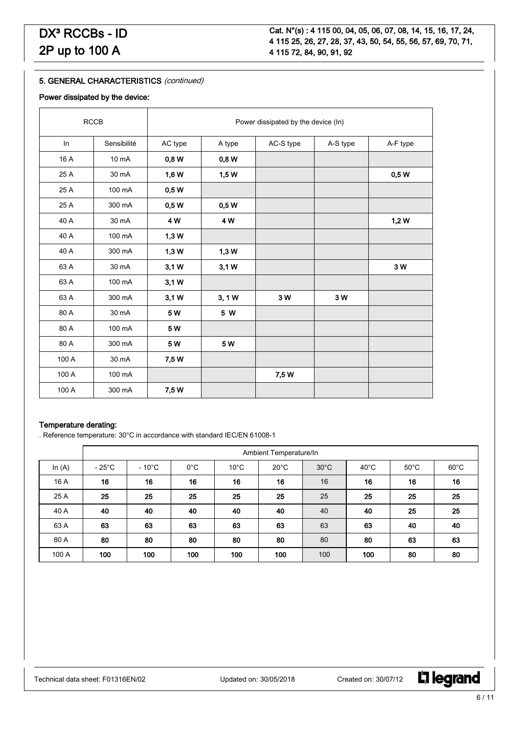# Power dissipated by the device:

|       | <b>RCCB</b> | Power dissipated by the device (In) |        |           |          |          |
|-------|-------------|-------------------------------------|--------|-----------|----------|----------|
| In    | Sensibilité | AC type                             | A type | AC-S type | A-S type | A-F type |
| 16 A  | 10 mA       | 0,8W                                | 0,8W   |           |          |          |
| 25 A  | 30 mA       | 1,6 W                               | $1,5W$ |           |          | 0,5W     |
| 25 A  | 100 mA      | 0,5W                                |        |           |          |          |
| 25 A  | 300 mA      | 0,5W                                | 0,5W   |           |          |          |
| 40 A  | 30 mA       | 4 W                                 | 4 W    |           |          | 1,2W     |
| 40 A  | 100 mA      | 1,3 W                               |        |           |          |          |
| 40 A  | 300 mA      | 1,3W                                | 1,3W   |           |          |          |
| 63 A  | 30 mA       | 3,1 W                               | 3,1 W  |           |          | 3W       |
| 63 A  | 100 mA      | 3,1 W                               |        |           |          |          |
| 63 A  | 300 mA      | 3,1 W                               | 3, 1 W | 3W        | 3W       |          |
| 80 A  | 30 mA       | 5W                                  | 5 W    |           |          |          |
| 80 A  | 100 mA      | 5W                                  |        |           |          |          |
| 80 A  | 300 mA      | 5W                                  | 5W     |           |          |          |
| 100 A | 30 mA       | 7,5 W                               |        |           |          |          |
| 100 A | 100 mA      |                                     |        | 7,5 W     |          |          |
| 100 A | 300 mA      | 7,5 W                               |        |           |          |          |

#### Temperature derating:

. Reference temperature: 30°C in accordance with standard IEC/EN 61008-1

|          | Ambient Temperature/In |                 |               |                |                |                |                |                |                |
|----------|------------------------|-----------------|---------------|----------------|----------------|----------------|----------------|----------------|----------------|
| In $(A)$ | $-25^{\circ}$ C        | $-10^{\circ}$ C | $0^{\circ}$ C | $10^{\circ}$ C | $20^{\circ}$ C | $30^{\circ}$ C | $40^{\circ}$ C | $50^{\circ}$ C | $60^{\circ}$ C |
| 16 A     | 16                     | 16              | 16            | 16             | 16             | 16             | 16             | 16             | 16             |
| 25 A     | 25                     | 25              | 25            | 25             | 25             | 25             | 25             | 25             | 25             |
| 40 A     | 40                     | 40              | 40            | 40             | 40             | 40             | 40             | 25             | 25             |
| 63 A     | 63                     | 63              | 63            | 63             | 63             | 63             | 63             | 40             | 40             |
| 80 A     | 80                     | 80              | 80            | 80             | 80             | 80             | 80             | 63             | 63             |
| 100 A    | 100                    | 100             | 100           | 100            | 100            | 100            | 100            | 80             | 80             |

L<sub>1</sub> legrand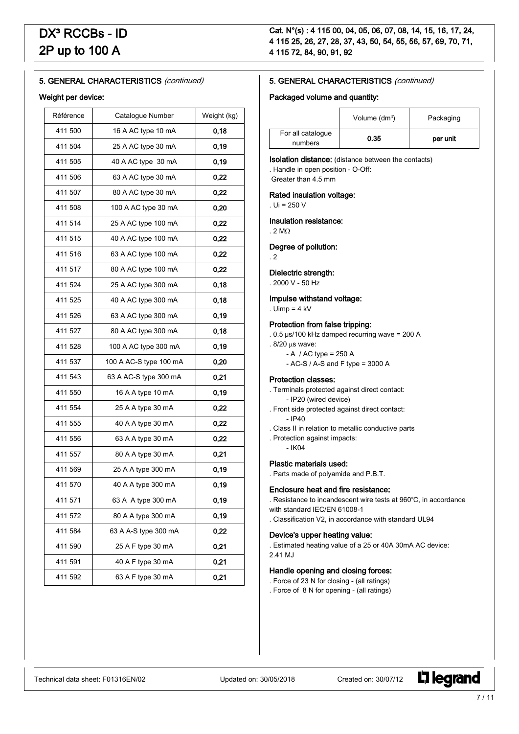# Cat. N°(s) : 4 115 00, 04, 05, 06, 07, 08, 14, 15, 16, 17, 24, 4 115 25, 26, 27, 28, 37, 43, 50, 54, 55, 56, 57, 69, 70, 71, 4 115 72, 84, 90, 91, 92

# 5. GENERAL CHARACTERISTICS (continued)

#### Weight per device:

| Référence | Catalogue Number       | Weight (kg) |
|-----------|------------------------|-------------|
| 411 500   | 16 A AC type 10 mA     | 0,18        |
| 411 504   | 25 A AC type 30 mA     | 0,19        |
| 411 505   | 40 A AC type 30 mA     | 0,19        |
| 411 506   | 63 A AC type 30 mA     | 0,22        |
| 411 507   | 80 A AC type 30 mA     | 0,22        |
| 411 508   | 100 A AC type 30 mA    | 0,20        |
| 411 514   | 25 A AC type 100 mA    | 0,22        |
| 411 515   | 40 A AC type 100 mA    | 0,22        |
| 411 516   | 63 A AC type 100 mA    | 0,22        |
| 411 517   | 80 A AC type 100 mA    | 0,22        |
| 411 524   | 25 A AC type 300 mA    | 0,18        |
| 411 525   | 40 A AC type 300 mA    | 0,18        |
| 411 526   | 63 A AC type 300 mA    | 0,19        |
| 411 527   | 80 A AC type 300 mA    | 0,18        |
| 411 528   | 100 A AC type 300 mA   | 0,19        |
| 411 537   | 100 A AC-S type 100 mA | 0,20        |
| 411 543   | 63 A AC-S type 300 mA  | 0,21        |
| 411 550   | 16 A A type 10 mA      | 0,19        |
| 411 554   | 25 A A type 30 mA      | 0,22        |
| 411 555   | 40 A A type 30 mA      | 0,22        |
| 411 556   | 63 A A type 30 mA      | 0,22        |
| 411 557   | 80 A A type 30 mA      | 0,21        |
| 411 569   | 25 A A type 300 mA     | 0,19        |
| 411 570   | 40 A A type 300 mA     | 0,19        |
| 411 571   | 63 A A type 300 mA     | 0,19        |
| 411 572   | 80 A A type 300 mA     | 0,19        |
| 411 584   | 63 A A-S type 300 mA   | 0,22        |
| 411 590   | 25 A F type 30 mA      | 0,21        |
| 411 591   | 40 A F type 30 mA      | 0,21        |
| 411 592   | 63 A F type 30 mA      | 0,21        |

### 5. GENERAL CHARACTERISTICS (continued)

#### Packaged volume and quantity:

|                              | Volume $(dm^3)$ | Packaging |
|------------------------------|-----------------|-----------|
| For all catalogue<br>numbers | 0.35            | per unit  |

Isolation distance: (distance between the contacts)

. Handle in open position - O-Off:

Greater than 4.5 mm

### Rated insulation voltage:

. Ui = 250 V

Insulation resistance:

. 2 M $\Omega$ 

# Degree of pollution:

. 2

# Dielectric strength:

. 2000 V - 50 Hz

#### Impulse withstand voltage:

. Uimp =  $4$  kV

#### Protection from false tripping:

- . 0.5 µs/100 kHz damped recurring wave = 200 A
- .  $8/20$   $\mu s$  wave:
	- A / AC type = 250 A
		- $-$  AC-S / A-S and F type = 3000 A

#### Protection classes:

- . Terminals protected against direct contact:
	- IP20 (wired device)
- . Front side protected against direct contact: - IP40
- . Class II in relation to metallic conductive parts
- . Protection against impacts: - IK04

# Plastic materials used:

. Parts made of polyamide and P.B.T.

#### Enclosure heat and fire resistance:

. Resistance to incandescent wire tests at 960℃, in accordance with standard IEC/EN 61008-1

. Classification V2, in accordance with standard UL94

#### Device's upper heating value:

. Estimated heating value of a 25 or 40A 30mA AC device: 2.41 MJ

#### Handle opening and closing forces:

- . Force of 23 N for closing (all ratings)
- . Force of 8 N for opening (all ratings)

**L'1 legrand**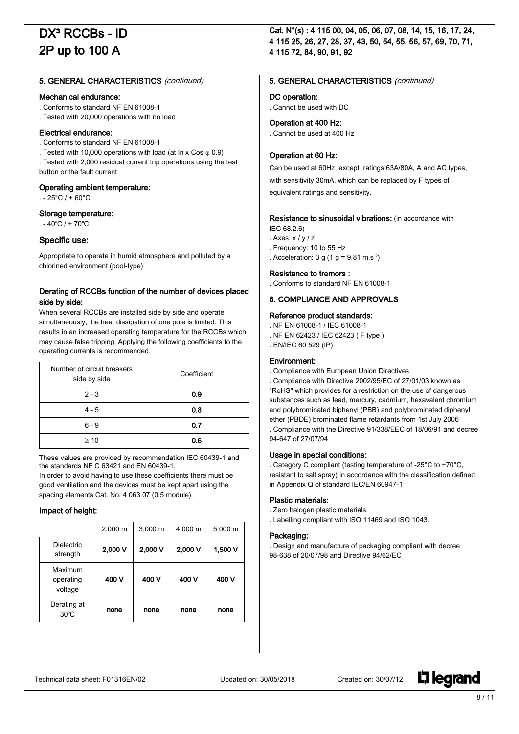#### Mechanical endurance:

. Conforms to standard NF EN 61008-1

. Tested with 20,000 operations with no load

#### Electrical endurance:

. Conforms to standard NF EN 61008-1

. Tested with 10,000 operations with load (at In x Cos  $\varphi$  0.9)

. Tested with 2,000 residual current trip operations using the test button or the fault current

#### Operating ambient temperature:

 $. -25^{\circ}$ C / + 60 $^{\circ}$ C

#### Storage temperature:

. - 40℃ / + 70℃

#### Specific use:

Appropriate to operate in humid atmosphere and polluted by a chlorined environment (pool-type)

### Derating of RCCBs function of the number of devices placed side by side:

When several RCCBs are installed side by side and operate simultaneously, the heat dissipation of one pole is limited. This results in an increased operating temperature for the RCCBs which may cause false tripping. Applying the following coefficients to the operating currents is recommended.

| Number of circuit breakers<br>side by side | Coefficient |  |
|--------------------------------------------|-------------|--|
| $2 - 3$                                    | 0.9         |  |
| $4 - 5$                                    | 0.8         |  |
| $6 - 9$                                    | 0.7         |  |
| $\geq 10$                                  | 0.6         |  |

These values are provided by recommendation IEC 60439-1 and the standards NF C 63421 and EN 60439-1. In order to avoid having to use these coefficients there must be

good ventilation and the devices must be kept apart using the spacing elements Cat. No. 4 063 07 (0.5 module).

#### Impact of height:

|                                 | 2,000 m | $3,000 \; m$ | 4,000 m | 5,000 m |
|---------------------------------|---------|--------------|---------|---------|
| <b>Dielectric</b><br>strength   | 2,000 V | 2,000 V      | 2,000 V | 1,500 V |
| Maximum<br>operating<br>voltage | 400 V   | 400 V        | 400 V   | 400 V   |
| Derating at<br>$30^{\circ}$ C   | none    | none         | none    | none    |

#### 5. GENERAL CHARACTERISTICS (continued)

#### DC operation:

. Cannot be used with DC

Operation at 400 Hz:

. Cannot be used at 400 Hz

#### Operation at 60 Hz:

Can be used at 60Hz, except ratings 63A/80A, A and AC types, with sensitivity 30mA, which can be replaced by F types of equivalent ratings and sensitivity.

Resistance to sinusoidal vibrations: (in accordance with

- IEC 68.2.6)
- . Axes: x / y / z
- . Frequency: 10 to 55 Hz . Acceleration:  $3 g (1 g = 9.81 m.s<sup>2</sup>)$

Resistance to tremors : . Conforms to standard NF EN 61008-1

#### 6. COMPLIANCE AND APPROVALS

#### Reference product standards:

- . NF EN 61008-1 / IEC 61008-1
- . NF EN 62423 / IEC 62423 ( F type )
- . EN/IEC 60 529 (IP)

#### Environment:

. Compliance with European Union Directives

. Compliance with Directive 2002/95/EC of 27/01/03 known as "RoHS" which provides for a restriction on the use of dangerous substances such as lead, mercury, cadmium, hexavalent chromium and polybrominated biphenyl (PBB) and polybrominated diphenyl ether (PBDE) brominated flame retardants from 1st July 2006 . Compliance with the Directive 91/338/EEC of 18/06/91 and decree 94-647 of 27/07/94

#### Usage in special conditions:

. Category C compliant (testing temperature of -25°C to +70°C, resistant to salt spray) in accordance with the classification defined in Appendix Q of standard IEC/EN 60947-1

#### Plastic materials:

- . Zero halogen plastic materials.
- . Labelling compliant with ISO 11469 and ISO 1043.

#### Packaging:

. Design and manufacture of packaging compliant with decree 98-638 of 20/07/98 and Directive 94/62/EC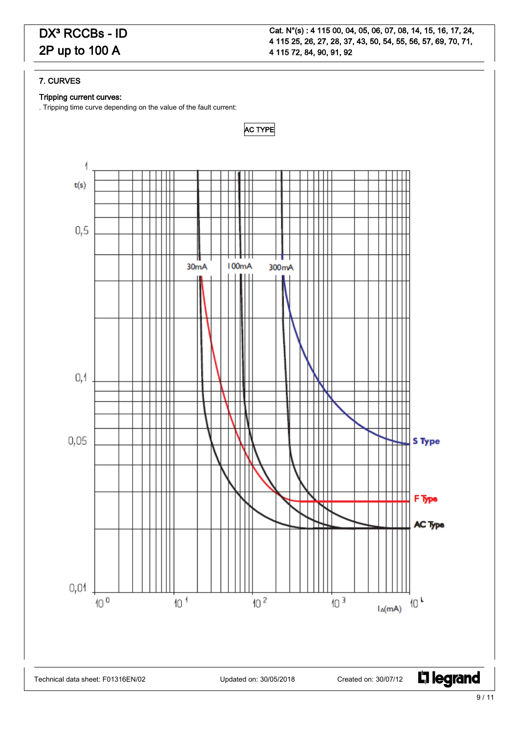# 7. CURVES

# Tripping current curves:

. Tripping time curve depending on the value of the fault current:



L<sub>1</sub> legrand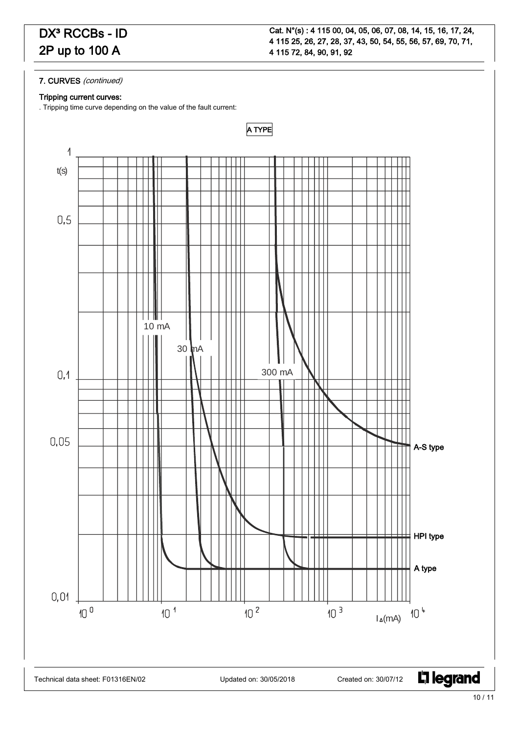# 7. CURVES (continued)

# Tripping current curves:

. Tripping time curve depending on the value of the fault current: